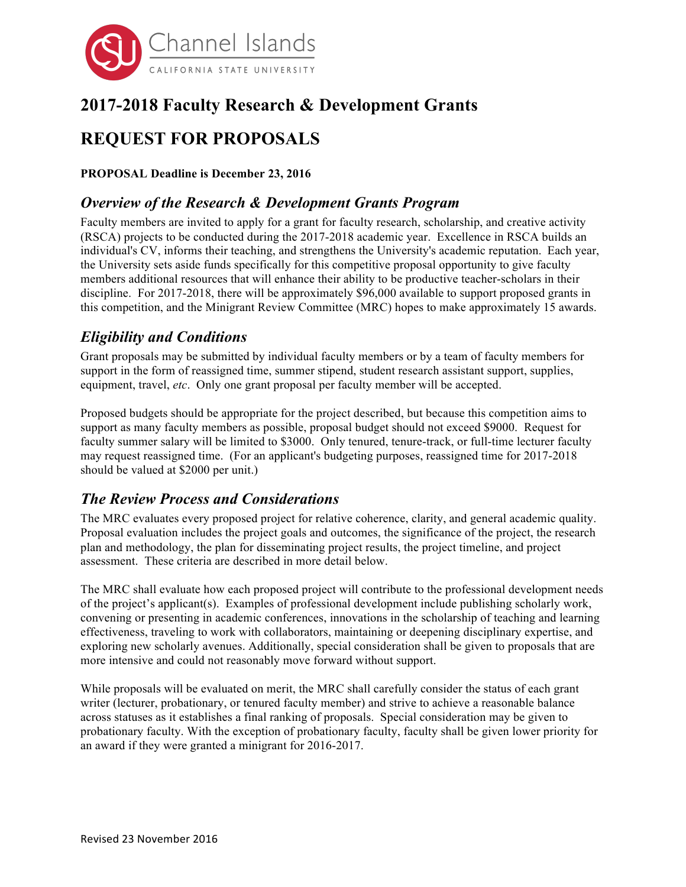

# **2017-2018 Faculty Research & Development Grants**

# **REQUEST FOR PROPOSALS**

**PROPOSAL Deadline is December 23, 2016**

### *Overview of the Research & Development Grants Program*

Faculty members are invited to apply for a grant for faculty research, scholarship, and creative activity (RSCA) projects to be conducted during the 2017-2018 academic year. Excellence in RSCA builds an individual's CV, informs their teaching, and strengthens the University's academic reputation. Each year, the University sets aside funds specifically for this competitive proposal opportunity to give faculty members additional resources that will enhance their ability to be productive teacher-scholars in their discipline. For 2017-2018, there will be approximately \$96,000 available to support proposed grants in this competition, and the Minigrant Review Committee (MRC) hopes to make approximately 15 awards.

## *Eligibility and Conditions*

Grant proposals may be submitted by individual faculty members or by a team of faculty members for support in the form of reassigned time, summer stipend, student research assistant support, supplies, equipment, travel, *etc*. Only one grant proposal per faculty member will be accepted.

Proposed budgets should be appropriate for the project described, but because this competition aims to support as many faculty members as possible, proposal budget should not exceed \$9000. Request for faculty summer salary will be limited to \$3000. Only tenured, tenure-track, or full-time lecturer faculty may request reassigned time. (For an applicant's budgeting purposes, reassigned time for 2017-2018 should be valued at \$2000 per unit.)

## *The Review Process and Considerations*

The MRC evaluates every proposed project for relative coherence, clarity, and general academic quality. Proposal evaluation includes the project goals and outcomes, the significance of the project, the research plan and methodology, the plan for disseminating project results, the project timeline, and project assessment. These criteria are described in more detail below.

The MRC shall evaluate how each proposed project will contribute to the professional development needs of the project's applicant(s). Examples of professional development include publishing scholarly work, convening or presenting in academic conferences, innovations in the scholarship of teaching and learning effectiveness, traveling to work with collaborators, maintaining or deepening disciplinary expertise, and exploring new scholarly avenues. Additionally, special consideration shall be given to proposals that are more intensive and could not reasonably move forward without support.

While proposals will be evaluated on merit, the MRC shall carefully consider the status of each grant writer (lecturer, probationary, or tenured faculty member) and strive to achieve a reasonable balance across statuses as it establishes a final ranking of proposals. Special consideration may be given to probationary faculty. With the exception of probationary faculty, faculty shall be given lower priority for an award if they were granted a minigrant for 2016-2017.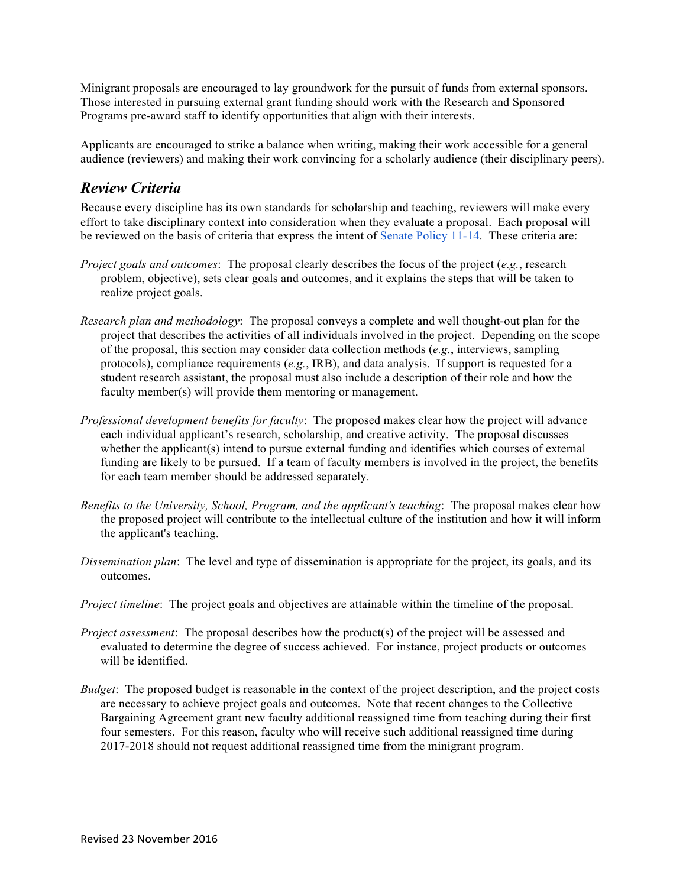Minigrant proposals are encouraged to lay groundwork for the pursuit of funds from external sponsors. Those interested in pursuing external grant funding should work with the Research and Sponsored Programs pre-award staff to identify opportunities that align with their interests.

Applicants are encouraged to strike a balance when writing, making their work accessible for a general audience (reviewers) and making their work convincing for a scholarly audience (their disciplinary peers).

#### *Review Criteria*

Because every discipline has its own standards for scholarship and teaching, reviewers will make every effort to take disciplinary context into consideration when they evaluate a proposal. Each proposal will be reviewed on the basis of criteria that express the intent of Senate Policy 11-14. These criteria are:

- *Project goals and outcomes*: The proposal clearly describes the focus of the project (*e.g.*, research problem, objective), sets clear goals and outcomes, and it explains the steps that will be taken to realize project goals.
- *Research plan and methodology*: The proposal conveys a complete and well thought-out plan for the project that describes the activities of all individuals involved in the project. Depending on the scope of the proposal, this section may consider data collection methods (*e.g.*, interviews, sampling protocols), compliance requirements (*e.g.*, IRB), and data analysis. If support is requested for a student research assistant, the proposal must also include a description of their role and how the faculty member(s) will provide them mentoring or management.
- *Professional development benefits for faculty*: The proposed makes clear how the project will advance each individual applicant's research, scholarship, and creative activity. The proposal discusses whether the applicant(s) intend to pursue external funding and identifies which courses of external funding are likely to be pursued. If a team of faculty members is involved in the project, the benefits for each team member should be addressed separately.
- *Benefits to the University, School, Program, and the applicant's teaching*: The proposal makes clear how the proposed project will contribute to the intellectual culture of the institution and how it will inform the applicant's teaching.
- *Dissemination plan*: The level and type of dissemination is appropriate for the project, its goals, and its outcomes.
- *Project timeline*: The project goals and objectives are attainable within the timeline of the proposal.
- *Project assessment*: The proposal describes how the product(s) of the project will be assessed and evaluated to determine the degree of success achieved. For instance, project products or outcomes will be identified.
- *Budget*: The proposed budget is reasonable in the context of the project description, and the project costs are necessary to achieve project goals and outcomes. Note that recent changes to the Collective Bargaining Agreement grant new faculty additional reassigned time from teaching during their first four semesters. For this reason, faculty who will receive such additional reassigned time during 2017-2018 should not request additional reassigned time from the minigrant program.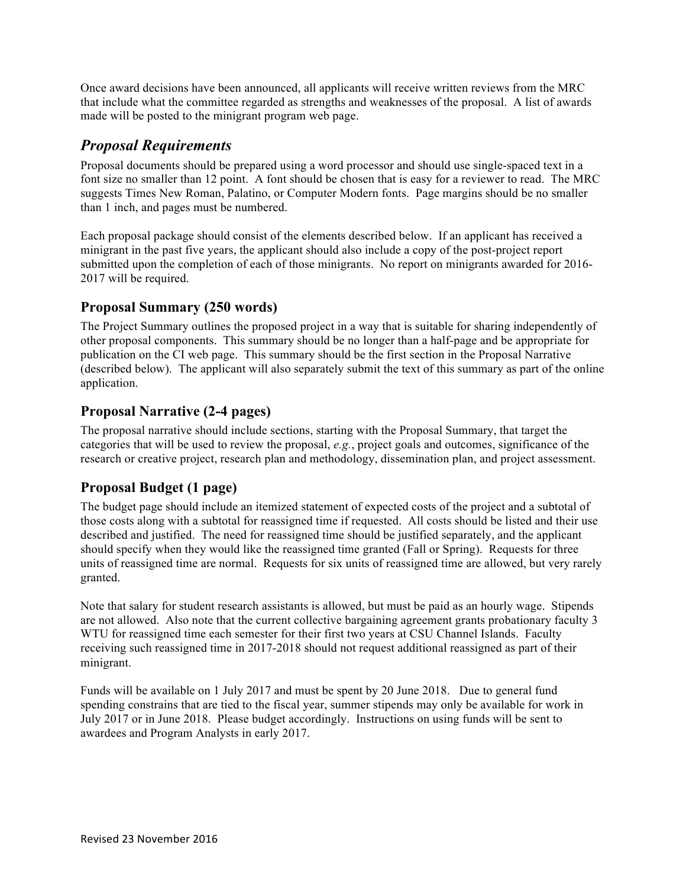Once award decisions have been announced, all applicants will receive written reviews from the MRC that include what the committee regarded as strengths and weaknesses of the proposal. A list of awards made will be posted to the minigrant program web page.

#### *Proposal Requirements*

Proposal documents should be prepared using a word processor and should use single-spaced text in a font size no smaller than 12 point. A font should be chosen that is easy for a reviewer to read. The MRC suggests Times New Roman, Palatino, or Computer Modern fonts. Page margins should be no smaller than 1 inch, and pages must be numbered.

Each proposal package should consist of the elements described below. If an applicant has received a minigrant in the past five years, the applicant should also include a copy of the post-project report submitted upon the completion of each of those minigrants. No report on minigrants awarded for 2016- 2017 will be required.

### **Proposal Summary (250 words)**

The Project Summary outlines the proposed project in a way that is suitable for sharing independently of other proposal components. This summary should be no longer than a half-page and be appropriate for publication on the CI web page. This summary should be the first section in the Proposal Narrative (described below). The applicant will also separately submit the text of this summary as part of the online application.

#### **Proposal Narrative (2-4 pages)**

The proposal narrative should include sections, starting with the Proposal Summary, that target the categories that will be used to review the proposal, *e.g.*, project goals and outcomes, significance of the research or creative project, research plan and methodology, dissemination plan, and project assessment.

#### **Proposal Budget (1 page)**

The budget page should include an itemized statement of expected costs of the project and a subtotal of those costs along with a subtotal for reassigned time if requested. All costs should be listed and their use described and justified. The need for reassigned time should be justified separately, and the applicant should specify when they would like the reassigned time granted (Fall or Spring). Requests for three units of reassigned time are normal. Requests for six units of reassigned time are allowed, but very rarely granted.

Note that salary for student research assistants is allowed, but must be paid as an hourly wage. Stipends are not allowed. Also note that the current collective bargaining agreement grants probationary faculty 3 WTU for reassigned time each semester for their first two years at CSU Channel Islands. Faculty receiving such reassigned time in 2017-2018 should not request additional reassigned as part of their minigrant.

Funds will be available on 1 July 2017 and must be spent by 20 June 2018. Due to general fund spending constrains that are tied to the fiscal year, summer stipends may only be available for work in July 2017 or in June 2018. Please budget accordingly. Instructions on using funds will be sent to awardees and Program Analysts in early 2017.